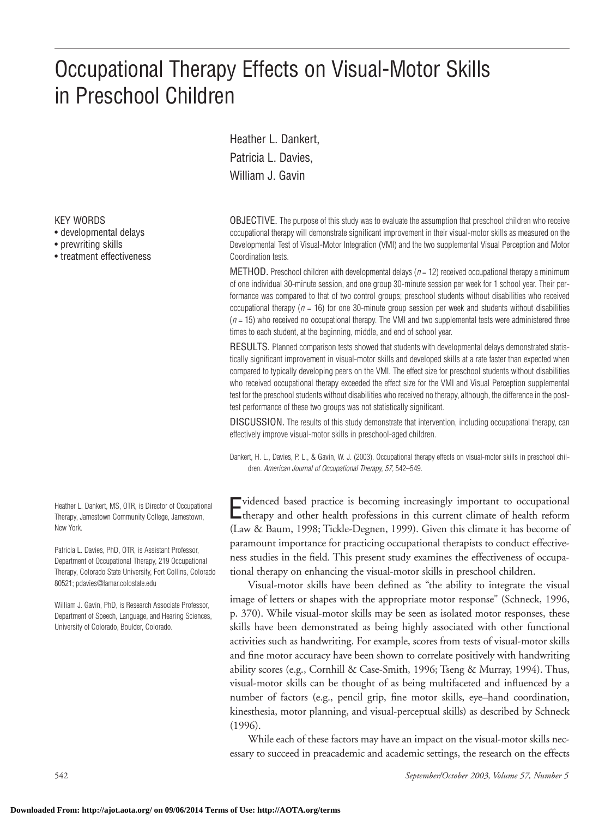# Occupational Therapy Effects on Visual-Motor Skills in Preschool Children

Heather L. Dankert, Patricia L. Davies, William J. Gavin

KEY WORDS

- developmental delays
- prewriting skills
- treatment effectiveness

Heather L. Dankert, MS, OTR, is Director of Occupational Therapy, Jamestown Community College, Jamestown, New York.

Patricia L. Davies, PhD, OTR, is Assistant Professor, Department of Occupational Therapy, 219 Occupational Therapy, Colorado State University, Fort Collins, Colorado 80521; pdavies@lamar.colostate.edu

William J. Gavin, PhD, is Research Associate Professor, Department of Speech, Language, and Hearing Sciences, University of Colorado, Boulder, Colorado.

OBJECTIVE. The purpose of this study was to evaluate the assumption that preschool children who receive occupational therapy will demonstrate significant improvement in their visual-motor skills as measured on the Developmental Test of Visual-Motor Integration (VMI) and the two supplemental Visual Perception and Motor Coordination tests.

METHOD. Preschool children with developmental delays (*n* = 12) received occupational therapy a minimum of one individual 30-minute session, and one group 30-minute session per week for 1 school year. Their performance was compared to that of two control groups; preschool students without disabilities who received occupational therapy (*n* = 16) for one 30-minute group session per week and students without disabilities  $(n = 15)$  who received no occupational therapy. The VMI and two supplemental tests were administered three times to each student, at the beginning, middle, and end of school year.

RESULTS. Planned comparison tests showed that students with developmental delays demonstrated statistically significant improvement in visual-motor skills and developed skills at a rate faster than expected when compared to typically developing peers on the VMI. The effect size for preschool students without disabilities who received occupational therapy exceeded the effect size for the VMI and Visual Perception supplemental test for the preschool students without disabilities who received no therapy, although, the difference in the posttest performance of these two groups was not statistically significant.

DISCUSSION. The results of this study demonstrate that intervention, including occupational therapy, can effectively improve visual-motor skills in preschool-aged children.

Dankert, H. L., Davies, P. L., & Gavin, W. J. (2003). Occupational therapy effects on visual-motor skills in preschool children. *American Journal of Occupational Therapy, 57,* 542–549.

E therapy and other health professions in this current climate of health reform videnced based practice is becoming increasingly important to occupational (Law & Baum, 1998; Tickle-Degnen, 1999). Given this climate it has become of paramount importance for practicing occupational therapists to conduct effectiveness studies in the field. This present study examines the effectiveness of occupational therapy on enhancing the visual-motor skills in preschool children.

Visual-motor skills have been defined as "the ability to integrate the visual image of letters or shapes with the appropriate motor response" (Schneck, 1996, p. 370). While visual-motor skills may be seen as isolated motor responses, these skills have been demonstrated as being highly associated with other functional activities such as handwriting. For example, scores from tests of visual-motor skills and fine motor accuracy have been shown to correlate positively with handwriting ability scores (e.g., Cornhill & Case-Smith, 1996; Tseng & Murray, 1994). Thus, visual-motor skills can be thought of as being multifaceted and influenced by a number of factors (e.g., pencil grip, fine motor skills, eye–hand coordination, kinesthesia, motor planning, and visual-perceptual skills) as described by Schneck (1996).

While each of these factors may have an impact on the visual-motor skills necessary to succeed in preacademic and academic settings, the research on the effects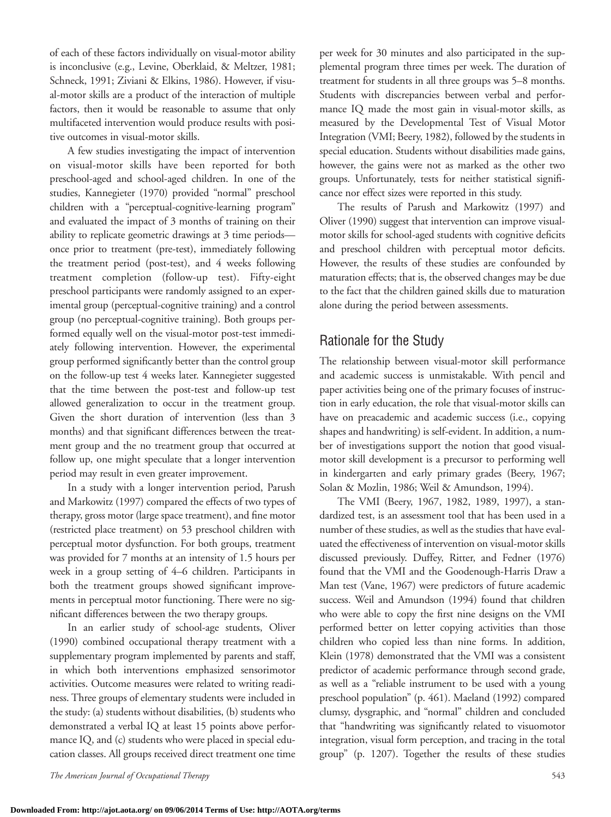of each of these factors individually on visual-motor ability is inconclusive (e.g., Levine, Oberklaid, & Meltzer, 1981; Schneck, 1991; Ziviani & Elkins, 1986). However, if visual-motor skills are a product of the interaction of multiple factors, then it would be reasonable to assume that only multifaceted intervention would produce results with positive outcomes in visual-motor skills.

A few studies investigating the impact of intervention on visual-motor skills have been reported for both preschool-aged and school-aged children. In one of the studies, Kannegieter (1970) provided "normal" preschool children with a "perceptual-cognitive-learning program" and evaluated the impact of 3 months of training on their ability to replicate geometric drawings at 3 time periods once prior to treatment (pre-test), immediately following the treatment period (post-test), and 4 weeks following treatment completion (follow-up test). Fifty-eight preschool participants were randomly assigned to an experimental group (perceptual-cognitive training) and a control group (no perceptual-cognitive training). Both groups performed equally well on the visual-motor post-test immediately following intervention. However, the experimental group performed significantly better than the control group on the follow-up test 4 weeks later. Kannegieter suggested that the time between the post-test and follow-up test allowed generalization to occur in the treatment group. Given the short duration of intervention (less than 3 months) and that significant differences between the treatment group and the no treatment group that occurred at follow up, one might speculate that a longer intervention period may result in even greater improvement.

In a study with a longer intervention period, Parush and Markowitz (1997) compared the effects of two types of therapy, gross motor (large space treatment), and fine motor (restricted place treatment) on 53 preschool children with perceptual motor dysfunction. For both groups, treatment was provided for 7 months at an intensity of 1.5 hours per week in a group setting of 4–6 children. Participants in both the treatment groups showed significant improvements in perceptual motor functioning. There were no significant differences between the two therapy groups.

In an earlier study of school-age students, Oliver (1990) combined occupational therapy treatment with a supplementary program implemented by parents and staff, in which both interventions emphasized sensorimotor activities. Outcome measures were related to writing readiness. Three groups of elementary students were included in the study: (a) students without disabilities, (b) students who demonstrated a verbal IQ at least 15 points above performance IQ, and (c) students who were placed in special education classes. All groups received direct treatment one time

per week for 30 minutes and also participated in the supplemental program three times per week. The duration of treatment for students in all three groups was 5–8 months. Students with discrepancies between verbal and performance IQ made the most gain in visual-motor skills, as measured by the Developmental Test of Visual Motor Integration (VMI; Beery, 1982), followed by the students in special education. Students without disabilities made gains, however, the gains were not as marked as the other two groups. Unfortunately, tests for neither statistical significance nor effect sizes were reported in this study.

The results of Parush and Markowitz (1997) and Oliver (1990) suggest that intervention can improve visualmotor skills for school-aged students with cognitive deficits and preschool children with perceptual motor deficits. However, the results of these studies are confounded by maturation effects; that is, the observed changes may be due to the fact that the children gained skills due to maturation alone during the period between assessments.

## Rationale for the Study

The relationship between visual-motor skill performance and academic success is unmistakable. With pencil and paper activities being one of the primary focuses of instruction in early education, the role that visual-motor skills can have on preacademic and academic success (i.e., copying shapes and handwriting) is self-evident. In addition, a number of investigations support the notion that good visualmotor skill development is a precursor to performing well in kindergarten and early primary grades (Beery, 1967; Solan & Mozlin, 1986; Weil & Amundson, 1994).

The VMI (Beery, 1967, 1982, 1989, 1997), a standardized test, is an assessment tool that has been used in a number of these studies, as well as the studies that have evaluated the effectiveness of intervention on visual-motor skills discussed previously. Duffey, Ritter, and Fedner (1976) found that the VMI and the Goodenough-Harris Draw a Man test (Vane, 1967) were predictors of future academic success. Weil and Amundson (1994) found that children who were able to copy the first nine designs on the VMI performed better on letter copying activities than those children who copied less than nine forms. In addition, Klein (1978) demonstrated that the VMI was a consistent predictor of academic performance through second grade, as well as a "reliable instrument to be used with a young preschool population" (p. 461). Maeland (1992) compared clumsy, dysgraphic, and "normal" children and concluded that "handwriting was significantly related to visuomotor integration, visual form perception, and tracing in the total group" (p. 1207). Together the results of these studies

*The American Journal of Occupational Therapy* 543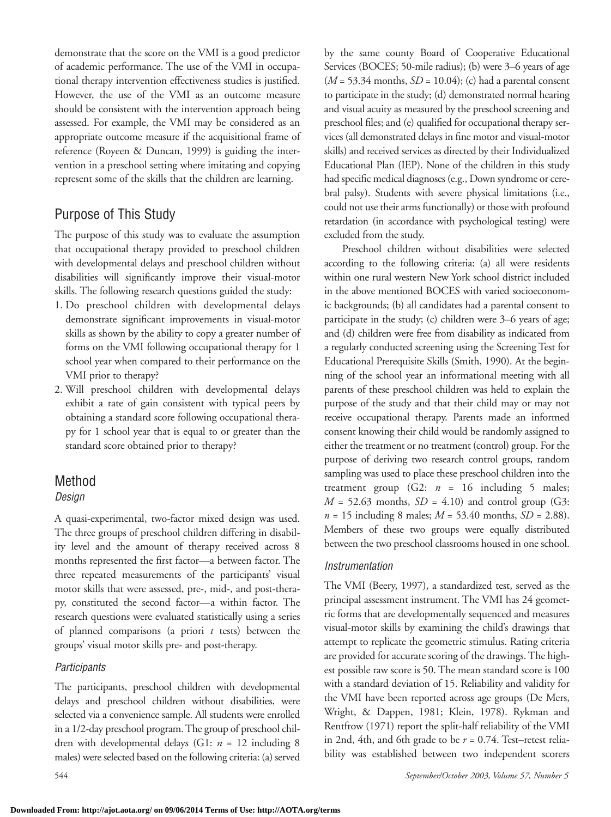demonstrate that the score on the VMI is a good predictor of academic performance. The use of the VMI in occupational therapy intervention effectiveness studies is justified. However, the use of the VMI as an outcome measure should be consistent with the intervention approach being assessed. For example, the VMI may be considered as an appropriate outcome measure if the acquisitional frame of reference (Royeen & Duncan, 1999) is guiding the intervention in a preschool setting where imitating and copying represent some of the skills that the children are learning.

# Purpose of This Study

The purpose of this study was to evaluate the assumption that occupational therapy provided to preschool children with developmental delays and preschool children without disabilities will significantly improve their visual-motor skills. The following research questions guided the study:

- 1. Do preschool children with developmental delays demonstrate significant improvements in visual-motor skills as shown by the ability to copy a greater number of forms on the VMI following occupational therapy for 1 school year when compared to their performance on the VMI prior to therapy?
- 2. Will preschool children with developmental delays exhibit a rate of gain consistent with typical peers by obtaining a standard score following occupational therapy for 1 school year that is equal to or greater than the standard score obtained prior to therapy?

# Method

## *Design*

A quasi-experimental, two-factor mixed design was used. The three groups of preschool children differing in disability level and the amount of therapy received across 8 months represented the first factor—a between factor. The three repeated measurements of the participants' visual motor skills that were assessed, pre-, mid-, and post-therapy, constituted the second factor—a within factor. The research questions were evaluated statistically using a series of planned comparisons (a priori *t* tests) between the groups' visual motor skills pre- and post-therapy.

## *Participants*

The participants, preschool children with developmental delays and preschool children without disabilities, were selected via a convenience sample. All students were enrolled in a 1/2-day preschool program. The group of preschool children with developmental delays (G1: *n* = 12 including 8 males) were selected based on the following criteria: (a) served by the same county Board of Cooperative Educational Services (BOCES; 50-mile radius); (b) were 3–6 years of age (*M* = 53.34 months, *SD* = 10.04); (c) had a parental consent to participate in the study; (d) demonstrated normal hearing and visual acuity as measured by the preschool screening and preschool files; and (e) qualified for occupational therapy services (all demonstrated delays in fine motor and visual-motor skills) and received services as directed by their Individualized Educational Plan (IEP). None of the children in this study had specific medical diagnoses (e.g., Down syndrome or cerebral palsy). Students with severe physical limitations (i.e., could not use their arms functionally) or those with profound retardation (in accordance with psychological testing) were excluded from the study.

Preschool children without disabilities were selected according to the following criteria: (a) all were residents within one rural western New York school district included in the above mentioned BOCES with varied socioeconomic backgrounds; (b) all candidates had a parental consent to participate in the study; (c) children were 3–6 years of age; and (d) children were free from disability as indicated from a regularly conducted screening using the Screening Test for Educational Prerequisite Skills (Smith, 1990). At the beginning of the school year an informational meeting with all parents of these preschool children was held to explain the purpose of the study and that their child may or may not receive occupational therapy. Parents made an informed consent knowing their child would be randomly assigned to either the treatment or no treatment (control) group. For the purpose of deriving two research control groups, random sampling was used to place these preschool children into the treatment group  $(G2: n = 16$  including 5 males;  $M = 52.63$  months,  $SD = 4.10$ ) and control group (G3: *n* = 15 including 8 males; *M* = 53.40 months, *SD* = 2.88). Members of these two groups were equally distributed between the two preschool classrooms housed in one school.

#### *Instrumentation*

The VMI (Beery, 1997), a standardized test, served as the principal assessment instrument. The VMI has 24 geometric forms that are developmentally sequenced and measures visual-motor skills by examining the child's drawings that attempt to replicate the geometric stimulus. Rating criteria are provided for accurate scoring of the drawings. The highest possible raw score is 50. The mean standard score is 100 with a standard deviation of 15. Reliability and validity for the VMI have been reported across age groups (De Mers, Wright, & Dappen, 1981; Klein, 1978). Rykman and Rentfrow (1971) report the split-half reliability of the VMI in 2nd, 4th, and 6th grade to be *r* = 0.74. Test–retest reliability was established between two independent scorers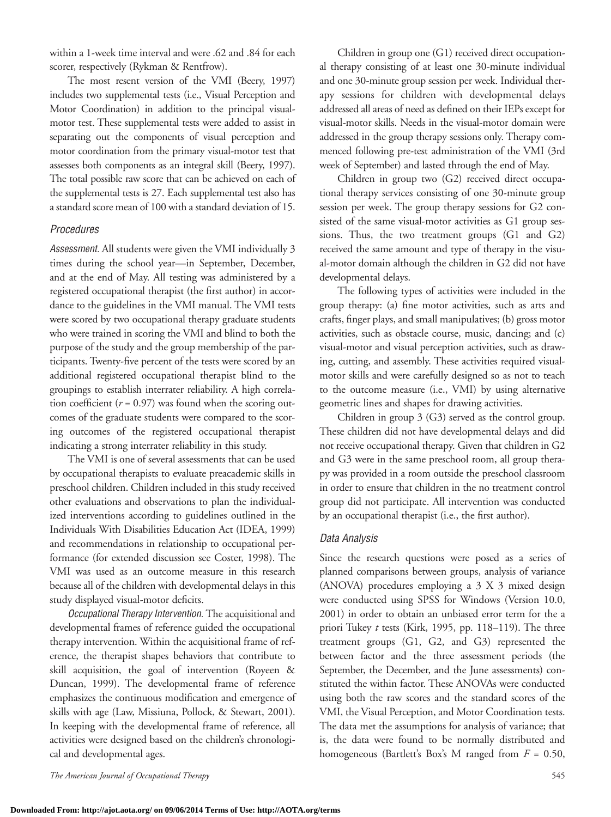within a 1-week time interval and were .62 and .84 for each scorer, respectively (Rykman & Rentfrow).

The most resent version of the VMI (Beery, 1997) includes two supplemental tests (i.e., Visual Perception and Motor Coordination) in addition to the principal visualmotor test. These supplemental tests were added to assist in separating out the components of visual perception and motor coordination from the primary visual-motor test that assesses both components as an integral skill (Beery, 1997). The total possible raw score that can be achieved on each of the supplemental tests is 27. Each supplemental test also has a standard score mean of 100 with a standard deviation of 15.

#### *Procedures*

*Assessment.* All students were given the VMI individually 3 times during the school year—in September, December, and at the end of May. All testing was administered by a registered occupational therapist (the first author) in accordance to the guidelines in the VMI manual. The VMI tests were scored by two occupational therapy graduate students who were trained in scoring the VMI and blind to both the purpose of the study and the group membership of the participants. Twenty-five percent of the tests were scored by an additional registered occupational therapist blind to the groupings to establish interrater reliability. A high correlation coefficient  $(r = 0.97)$  was found when the scoring outcomes of the graduate students were compared to the scoring outcomes of the registered occupational therapist indicating a strong interrater reliability in this study.

The VMI is one of several assessments that can be used by occupational therapists to evaluate preacademic skills in preschool children. Children included in this study received other evaluations and observations to plan the individualized interventions according to guidelines outlined in the Individuals With Disabilities Education Act (IDEA, 1999) and recommendations in relationship to occupational performance (for extended discussion see Coster, 1998). The VMI was used as an outcome measure in this research because all of the children with developmental delays in this study displayed visual-motor deficits.

*Occupational Therapy Intervention.* The acquisitional and developmental frames of reference guided the occupational therapy intervention. Within the acquisitional frame of reference, the therapist shapes behaviors that contribute to skill acquisition, the goal of intervention (Royeen & Duncan, 1999). The developmental frame of reference emphasizes the continuous modification and emergence of skills with age (Law, Missiuna, Pollock, & Stewart, 2001). In keeping with the developmental frame of reference, all activities were designed based on the children's chronological and developmental ages.

Children in group one (G1) received direct occupational therapy consisting of at least one 30-minute individual and one 30-minute group session per week. Individual therapy sessions for children with developmental delays addressed all areas of need as defined on their IEPs except for visual-motor skills. Needs in the visual-motor domain were addressed in the group therapy sessions only. Therapy commenced following pre-test administration of the VMI (3rd week of September) and lasted through the end of May.

Children in group two (G2) received direct occupational therapy services consisting of one 30-minute group session per week. The group therapy sessions for G2 consisted of the same visual-motor activities as G1 group sessions. Thus, the two treatment groups (G1 and G2) received the same amount and type of therapy in the visual-motor domain although the children in G2 did not have developmental delays.

The following types of activities were included in the group therapy: (a) fine motor activities, such as arts and crafts, finger plays, and small manipulatives; (b) gross motor activities, such as obstacle course, music, dancing; and (c) visual-motor and visual perception activities, such as drawing, cutting, and assembly. These activities required visualmotor skills and were carefully designed so as not to teach to the outcome measure (i.e., VMI) by using alternative geometric lines and shapes for drawing activities.

Children in group 3 (G3) served as the control group. These children did not have developmental delays and did not receive occupational therapy. Given that children in G2 and G3 were in the same preschool room, all group therapy was provided in a room outside the preschool classroom in order to ensure that children in the no treatment control group did not participate. All intervention was conducted by an occupational therapist (i.e., the first author).

#### *Data Analysis*

Since the research questions were posed as a series of planned comparisons between groups, analysis of variance (ANOVA) procedures employing a 3 X 3 mixed design were conducted using SPSS for Windows (Version 10.0, 2001) in order to obtain an unbiased error term for the a priori Tukey *t* tests (Kirk, 1995, pp. 118–119). The three treatment groups (G1, G2, and G3) represented the between factor and the three assessment periods (the September, the December, and the June assessments) constituted the within factor. These ANOVAs were conducted using both the raw scores and the standard scores of the VMI, the Visual Perception, and Motor Coordination tests. The data met the assumptions for analysis of variance; that is, the data were found to be normally distributed and homogeneous (Bartlett's Box's M ranged from *F* = 0.50,

*The American Journal of Occupational Therapy* 545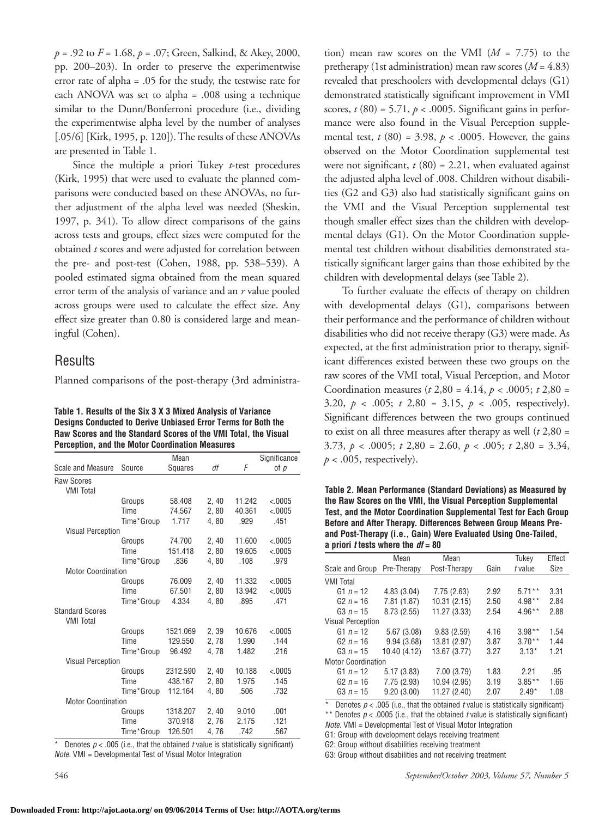*p* = .92 to *F* = 1.68, *p* = .07; Green, Salkind, & Akey, 2000, pp. 200–203). In order to preserve the experimentwise error rate of alpha = .05 for the study, the testwise rate for each ANOVA was set to alpha = .008 using a technique similar to the Dunn/Bonferroni procedure (i.e., dividing the experimentwise alpha level by the number of analyses [.05/6] [Kirk, 1995, p. 120]). The results of these ANOVAs are presented in Table 1.

Since the multiple a priori Tukey *t*-test procedures (Kirk, 1995) that were used to evaluate the planned comparisons were conducted based on these ANOVAs, no further adjustment of the alpha level was needed (Sheskin, 1997, p. 341). To allow direct comparisons of the gains across tests and groups, effect sizes were computed for the obtained *t* scores and were adjusted for correlation between the pre- and post-test (Cohen, 1988, pp. 538–539). A pooled estimated sigma obtained from the mean squared error term of the analysis of variance and an *r* value pooled across groups were used to calculate the effect size. Any effect size greater than 0.80 is considered large and meaningful (Cohen).

## **Results**

Planned comparisons of the post-therapy (3rd administra-

**Table 1. Results of the Six 3 X 3 Mixed Analysis of Variance Designs Conducted to Derive Unbiased Error Terms for Both the Raw Scores and the Standard Scores of the VMI Total, the Visual Perception, and the Motor Coordination Measures**

|                                       |            | Mean     |       |        | Significance |
|---------------------------------------|------------|----------|-------|--------|--------------|
| <b>Scale and Measure</b>              | Source     | Squares  | df    | F      | of $p$       |
| <b>Raw Scores</b><br><b>VMI Total</b> |            |          |       |        |              |
|                                       | Groups     | 58.408   | 2,40  | 11.242 | < .0005      |
|                                       | Time       | 74.567   | 2,80  | 40.361 | < .0005      |
|                                       | Time*Group | 1.717    | 4,80  | .929   | .451         |
| <b>Visual Perception</b>              |            |          |       |        |              |
|                                       | Groups     | 74.700   | 2,40  | 11.600 | < .0005      |
|                                       | Time       | 151.418  | 2,80  | 19.605 | < .0005      |
|                                       | Time*Group | .836     | 4.80  | .108   | .979         |
| <b>Motor Coordination</b>             |            |          |       |        |              |
|                                       | Groups     | 76.009   | 2,40  | 11.332 | < .0005      |
|                                       | Time       | 67.501   | 2,80  | 13.942 | < .0005      |
|                                       | Time*Group | 4.334    | 4,80  | .895   | .471         |
| <b>Standard Scores</b>                |            |          |       |        |              |
| <b>VMI Total</b>                      |            |          |       |        |              |
|                                       | Groups     | 1521.069 | 2, 39 | 10.676 | < .0005      |
|                                       | Time       | 129.550  | 2,78  | 1.990  | .144         |
|                                       | Time*Group | 96.492   | 4.78  | 1.482  | .216         |
| <b>Visual Perception</b>              |            |          |       |        |              |
|                                       | Groups     | 2312.590 | 2,40  | 10.188 | < .0005      |
|                                       | Time       | 438.167  | 2,80  | 1.975  | .145         |
|                                       | Time*Group | 112.164  | 4,80  | .506   | .732         |
| <b>Motor Coordination</b>             |            |          |       |        |              |
|                                       | Groups     | 1318.207 | 2,40  | 9.010  | .001         |
|                                       | Time       | 370.918  | 2,76  | 2.175  | .121         |
|                                       | Time*Group | 126.501  | 4,76  | .742   | .567         |

Denotes  $p < .005$  (i.e., that the obtained  $t$  value is statistically significant) *Note.* VMI = Developmental Test of Visual Motor Integration

tion) mean raw scores on the VMI  $(M = 7.75)$  to the pretherapy (1st administration) mean raw scores (*M* = 4.83) revealed that preschoolers with developmental delays (G1) demonstrated statistically significant improvement in VMI scores,  $t(80) = 5.71$ ,  $p < .0005$ . Significant gains in performance were also found in the Visual Perception supplemental test,  $t(80) = 3.98$ ,  $p < .0005$ . However, the gains observed on the Motor Coordination supplemental test were not significant,  $t(80) = 2.21$ , when evaluated against the adjusted alpha level of .008. Children without disabilities (G2 and G3) also had statistically significant gains on the VMI and the Visual Perception supplemental test though smaller effect sizes than the children with developmental delays (G1). On the Motor Coordination supplemental test children without disabilities demonstrated statistically significant larger gains than those exhibited by the children with developmental delays (see Table 2).

To further evaluate the effects of therapy on children with developmental delays (G1), comparisons between their performance and the performance of children without disabilities who did not receive therapy (G3) were made. As expected, at the first administration prior to therapy, significant differences existed between these two groups on the raw scores of the VMI total, Visual Perception, and Motor Coordination measures (*t* 2,80 = 4.14, *p* < .0005; *t* 2,80 = 3.20, *p* < .005; *t* 2,80 = 3.15, *p* < .005, respectively). Significant differences between the two groups continued to exist on all three measures after therapy as well (*t* 2,80 = 3.73, *p* < .0005; *t* 2,80 = 2.60, *p* < .005; *t* 2,80 = 3.34,  $p < .005$ , respectively).

**Table 2. Mean Performance (Standard Deviations) as Measured by the Raw Scores on the VMI, the Visual Perception Supplemental Test, and the Motor Coordination Supplemental Test for Each Group Before and After Therapy. Differences Between Group Means Preand Post-Therapy (i.e., Gain) Were Evaluated Using One-Tailed, a priori** *t* **tests where the** *df* **= 80**

|                           | Mean         | Mean         |      | Tukey     | Effect |
|---------------------------|--------------|--------------|------|-----------|--------|
| Scale and Group           | Pre-Therapy  | Post-Therapy | Gain | t value   | Size   |
| <b>VMI Total</b>          |              |              |      |           |        |
| G1 $n = 12$               | 4.83(3.04)   | 7.75(2.63)   | 2.92 | $5.71***$ | 3.31   |
| G2 $n = 16$               | 7.81(1.87)   | 10.31(2.15)  | 2.50 | $4.98**$  | 2.84   |
| G3 $n = 15$               | 8.73(2.55)   | 11.27 (3.33) | 2.54 | $4.96**$  | 2.88   |
| <b>Visual Perception</b>  |              |              |      |           |        |
| G1 $n = 12$               | 5.67(3.08)   | 9.83(2.59)   | 4.16 | $3.98**$  | 1.54   |
| G2 $n = 16$               | 9.94(3.68)   | 13.81 (2.97) | 3.87 | $3.70**$  | 1.44   |
| G3 $n = 15$               | 10.40 (4.12) | 13.67 (3.77) | 3.27 | $3.13*$   | 1.21   |
| <b>Motor Coordination</b> |              |              |      |           |        |
| G1 $n = 12$               | 5.17(3.83)   | 7.00(3.79)   | 1.83 | 2.21      | .95    |
| G2 $n = 16$               | 7.75(2.93)   | 10.94 (2.95) | 3.19 | $3.85**$  | 1.66   |
| G3 $n = 15$               | 9.20(3.00)   | 11.27 (2.40) | 2.07 | $2.49*$   | 1.08   |

\* Denotes  $p < .005$  (i.e., that the obtained *t* value is statistically significant) \*\* Denotes  $p < .0005$  (i.e., that the obtained  $t$  value is statistically significant)

*Note.* VMI = Developmental Test of Visual Motor Integration

G1: Group with development delays receiving treatment G2: Group without disabilities receiving treatment

G3: Group without disabilities and not receiving treatment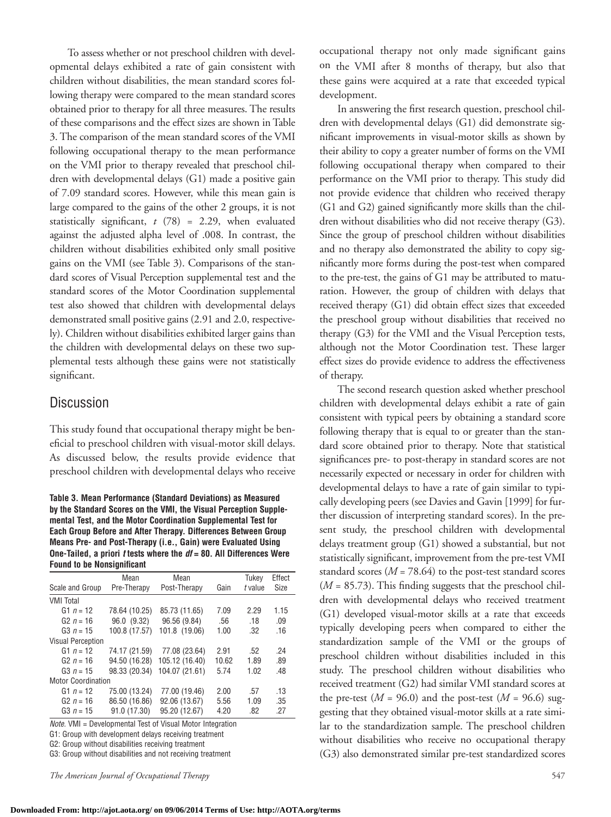To assess whether or not preschool children with developmental delays exhibited a rate of gain consistent with children without disabilities, the mean standard scores following therapy were compared to the mean standard scores obtained prior to therapy for all three measures. The results of these comparisons and the effect sizes are shown in Table 3. The comparison of the mean standard scores of the VMI following occupational therapy to the mean performance on the VMI prior to therapy revealed that preschool children with developmental delays (G1) made a positive gain of 7.09 standard scores. However, while this mean gain is large compared to the gains of the other 2 groups, it is not statistically significant, *t* (78) = 2.29, when evaluated against the adjusted alpha level of .008. In contrast, the children without disabilities exhibited only small positive gains on the VMI (see Table 3). Comparisons of the standard scores of Visual Perception supplemental test and the standard scores of the Motor Coordination supplemental test also showed that children with developmental delays demonstrated small positive gains (2.91 and 2.0, respectively). Children without disabilities exhibited larger gains than the children with developmental delays on these two supplemental tests although these gains were not statistically significant.

### **Discussion**

This study found that occupational therapy might be beneficial to preschool children with visual-motor skill delays. As discussed below, the results provide evidence that preschool children with developmental delays who receive

**Table 3. Mean Performance (Standard Deviations) as Measured by the Standard Scores on the VMI, the Visual Perception Supplemental Test, and the Motor Coordination Supplemental Test for Each Group Before and After Therapy. Differences Between Group Means Pre- and Post-Therapy (i.e., Gain) were Evaluated Using One-Tailed, a priori** *t* **tests where the** *df* **= 80. All Differences Were Found to be Nonsignificant**

|                           | Mean          | Mean           |       | Tukey   | Effect      |  |
|---------------------------|---------------|----------------|-------|---------|-------------|--|
| Scale and Group           | Pre-Therapy   | Post-Therapy   | Gain  | t value | <b>Size</b> |  |
| <b>VMI Total</b>          |               |                |       |         |             |  |
| G1 $n = 12$               | 78.64 (10.25) | 85.73 (11.65)  | 7.09  | 2.29    | 1.15        |  |
| G2 $n = 16$               | 96.0 (9.32)   | 96.56 (9.84)   | .56   | .18     | .09         |  |
| G3 $n = 15$               | 100.8 (17.57) | 101.8 (19.06)  | 1.00  | .32     | .16         |  |
| <b>Visual Perception</b>  |               |                |       |         |             |  |
| G1 $n = 12$               | 74.17 (21.59) | 77.08 (23.64)  | 2.91  | .52     | -24         |  |
| G2 $n = 16$               | 94.50 (16.28) | 105.12 (16.40) | 10.62 | 1.89    | .89         |  |
| G3 $n = 15$               | 98.33 (20.34) | 104.07 (21.61) | 5.74  | 1.02    | .48         |  |
| <b>Motor Coordination</b> |               |                |       |         |             |  |
| G1 $n = 12$               | 75.00 (13.24) | 77.00 (19.46)  | 2.00  | .57     | .13         |  |
| G <sub>2</sub> $n = 16$   | 86.50 (16.86) | 92.06 (13.67)  | 5.56  | 1.09    | .35         |  |
| G <sub>3</sub> $n = 15$   | 91.0 (17.30)  | 95.20 (12.67)  | 4.20  | .82     | .27         |  |

*Note.* VMI = Developmental Test of Visual Motor Integration

G1: Group with development delays receiving treatment

G2: Group without disabilities receiving treatment

G3: Group without disabilities and not receiving treatment

*The American Journal of Occupational Therapy* 547

occupational therapy not only made significant gains on the VMI after 8 months of therapy, but also that these gains were acquired at a rate that exceeded typical development.

In answering the first research question, preschool children with developmental delays (G1) did demonstrate significant improvements in visual-motor skills as shown by their ability to copy a greater number of forms on the VMI following occupational therapy when compared to their performance on the VMI prior to therapy. This study did not provide evidence that children who received therapy (G1 and G2) gained significantly more skills than the children without disabilities who did not receive therapy (G3). Since the group of preschool children without disabilities and no therapy also demonstrated the ability to copy significantly more forms during the post-test when compared to the pre-test, the gains of G1 may be attributed to maturation. However, the group of children with delays that received therapy (G1) did obtain effect sizes that exceeded the preschool group without disabilities that received no therapy (G3) for the VMI and the Visual Perception tests, although not the Motor Coordination test. These larger effect sizes do provide evidence to address the effectiveness of therapy.

The second research question asked whether preschool children with developmental delays exhibit a rate of gain consistent with typical peers by obtaining a standard score following therapy that is equal to or greater than the standard score obtained prior to therapy. Note that statistical significances pre- to post-therapy in standard scores are not necessarily expected or necessary in order for children with developmental delays to have a rate of gain similar to typically developing peers (see Davies and Gavin [1999] for further discussion of interpreting standard scores). In the present study, the preschool children with developmental delays treatment group (G1) showed a substantial, but not statistically significant, improvement from the pre-test VMI standard scores  $(M = 78.64)$  to the post-test standard scores (*M* = 85.73). This finding suggests that the preschool children with developmental delays who received treatment (G1) developed visual-motor skills at a rate that exceeds typically developing peers when compared to either the standardization sample of the VMI or the groups of preschool children without disabilities included in this study. The preschool children without disabilities who received treatment (G2) had similar VMI standard scores at the pre-test  $(M = 96.0)$  and the post-test  $(M = 96.6)$  suggesting that they obtained visual-motor skills at a rate similar to the standardization sample. The preschool children without disabilities who receive no occupational therapy (G3) also demonstrated similar pre-test standardized scores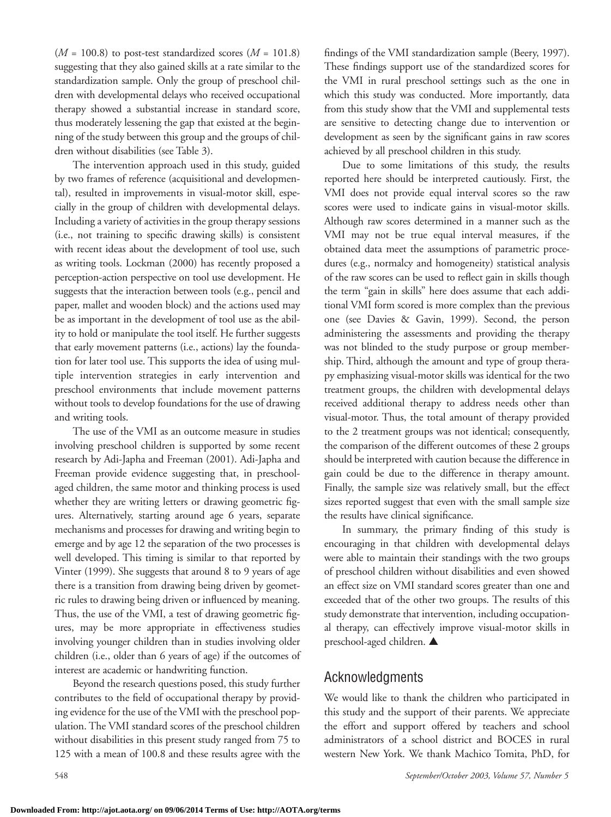$(M = 100.8)$  to post-test standardized scores  $(M = 101.8)$ suggesting that they also gained skills at a rate similar to the standardization sample. Only the group of preschool children with developmental delays who received occupational therapy showed a substantial increase in standard score, thus moderately lessening the gap that existed at the beginning of the study between this group and the groups of children without disabilities (see Table 3).

The intervention approach used in this study, guided by two frames of reference (acquisitional and developmental), resulted in improvements in visual-motor skill, especially in the group of children with developmental delays. Including a variety of activities in the group therapy sessions (i.e., not training to specific drawing skills) is consistent with recent ideas about the development of tool use, such as writing tools. Lockman (2000) has recently proposed a perception-action perspective on tool use development. He suggests that the interaction between tools (e.g., pencil and paper, mallet and wooden block) and the actions used may be as important in the development of tool use as the ability to hold or manipulate the tool itself. He further suggests that early movement patterns (i.e., actions) lay the foundation for later tool use. This supports the idea of using multiple intervention strategies in early intervention and preschool environments that include movement patterns without tools to develop foundations for the use of drawing and writing tools.

The use of the VMI as an outcome measure in studies involving preschool children is supported by some recent research by Adi-Japha and Freeman (2001). Adi-Japha and Freeman provide evidence suggesting that, in preschoolaged children, the same motor and thinking process is used whether they are writing letters or drawing geometric figures. Alternatively, starting around age 6 years, separate mechanisms and processes for drawing and writing begin to emerge and by age 12 the separation of the two processes is well developed. This timing is similar to that reported by Vinter (1999). She suggests that around 8 to 9 years of age there is a transition from drawing being driven by geometric rules to drawing being driven or influenced by meaning. Thus, the use of the VMI, a test of drawing geometric figures, may be more appropriate in effectiveness studies involving younger children than in studies involving older children (i.e., older than 6 years of age) if the outcomes of interest are academic or handwriting function.

Beyond the research questions posed, this study further contributes to the field of occupational therapy by providing evidence for the use of the VMI with the preschool population. The VMI standard scores of the preschool children without disabilities in this present study ranged from 75 to 125 with a mean of 100.8 and these results agree with the findings of the VMI standardization sample (Beery, 1997). These findings support use of the standardized scores for the VMI in rural preschool settings such as the one in which this study was conducted. More importantly, data from this study show that the VMI and supplemental tests are sensitive to detecting change due to intervention or development as seen by the significant gains in raw scores achieved by all preschool children in this study.

Due to some limitations of this study, the results reported here should be interpreted cautiously. First, the VMI does not provide equal interval scores so the raw scores were used to indicate gains in visual-motor skills. Although raw scores determined in a manner such as the VMI may not be true equal interval measures, if the obtained data meet the assumptions of parametric procedures (e.g., normalcy and homogeneity) statistical analysis of the raw scores can be used to reflect gain in skills though the term "gain in skills" here does assume that each additional VMI form scored is more complex than the previous one (see Davies & Gavin, 1999). Second, the person administering the assessments and providing the therapy was not blinded to the study purpose or group membership. Third, although the amount and type of group therapy emphasizing visual-motor skills was identical for the two treatment groups, the children with developmental delays received additional therapy to address needs other than visual-motor. Thus, the total amount of therapy provided to the 2 treatment groups was not identical; consequently, the comparison of the different outcomes of these 2 groups should be interpreted with caution because the difference in gain could be due to the difference in therapy amount. Finally, the sample size was relatively small, but the effect sizes reported suggest that even with the small sample size the results have clinical significance.

In summary, the primary finding of this study is encouraging in that children with developmental delays were able to maintain their standings with the two groups of preschool children without disabilities and even showed an effect size on VMI standard scores greater than one and exceeded that of the other two groups. The results of this study demonstrate that intervention, including occupational therapy, can effectively improve visual-motor skills in preschool-aged children. ▲

# Acknowledgments

We would like to thank the children who participated in this study and the support of their parents. We appreciate the effort and support offered by teachers and school administrators of a school district and BOCES in rural western New York. We thank Machico Tomita, PhD, for